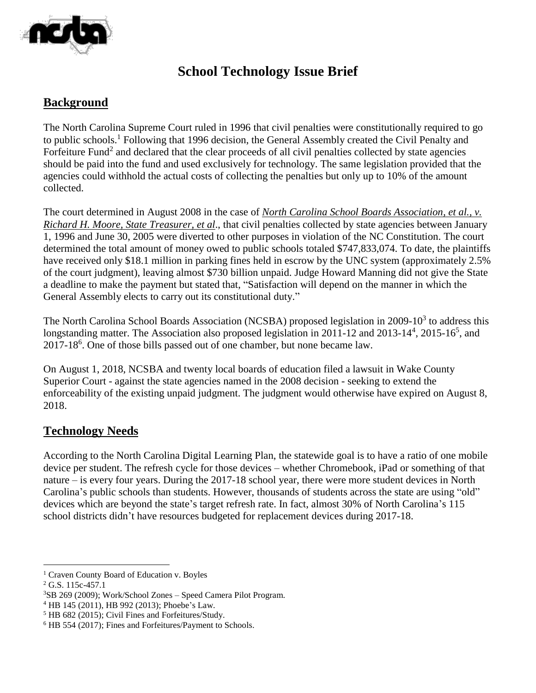

## **School Technology Issue Brief**

## **Background**

The North Carolina Supreme Court ruled in 1996 that civil penalties were constitutionally required to go to public schools.<sup>1</sup> Following that 1996 decision, the General Assembly created the Civil Penalty and Forfeiture Fund<sup>2</sup> and declared that the clear proceeds of all civil penalties collected by state agencies should be paid into the fund and used exclusively for technology. The same legislation provided that the agencies could withhold the actual costs of collecting the penalties but only up to 10% of the amount collected.

The court determined in August 2008 in the case of *North Carolina School Boards Association, et al., v. Richard H. Moore, State Treasurer, et al*., that civil penalties collected by state agencies between January 1, 1996 and June 30, 2005 were diverted to other purposes in violation of the NC Constitution. The court determined the total amount of money owed to public schools totaled \$747,833,074. To date, the plaintiffs have received only \$18.1 million in parking fines held in escrow by the UNC system (approximately 2.5% of the court judgment), leaving almost \$730 billion unpaid. Judge Howard Manning did not give the State a deadline to make the payment but stated that, "Satisfaction will depend on the manner in which the General Assembly elects to carry out its constitutional duty."

The North Carolina School Boards Association (NCSBA) proposed legislation in 2009-10 $3$  to address this longstanding matter. The Association also proposed legislation in 2011-12 and 2013-14<sup>4</sup>, 2015-16<sup>5</sup>, and 2017-18<sup>6</sup> . One of those bills passed out of one chamber, but none became law.

On August 1, 2018, NCSBA and twenty local boards of education filed a lawsuit in Wake County Superior Court - against the state agencies named in the 2008 decision - seeking to extend the enforceability of the existing unpaid judgment. The judgment would otherwise have expired on August 8, 2018.

## **Technology Needs**

According to the North Carolina Digital Learning Plan, the statewide goal is to have a ratio of one mobile device per student. The refresh cycle for those devices – whether Chromebook, iPad or something of that nature – is every four years. During the 2017-18 school year, there were more student devices in North Carolina's public schools than students. However, thousands of students across the state are using "old" devices which are beyond the state's target refresh rate. In fact, almost 30% of North Carolina's 115 school districts didn't have resources budgeted for replacement devices during 2017-18.

 $\overline{a}$ 

<sup>&</sup>lt;sup>1</sup> Craven County Board of Education v. Boyles

<sup>&</sup>lt;sup>2</sup> G.S. 115c-457.1

<sup>3</sup>SB 269 (2009); Work/School Zones – Speed Camera Pilot Program.

<sup>4</sup> HB 145 (2011), HB 992 (2013); Phoebe's Law.

<sup>5</sup> HB 682 (2015); Civil Fines and Forfeitures/Study.

<sup>6</sup> HB 554 (2017); Fines and Forfeitures/Payment to Schools.